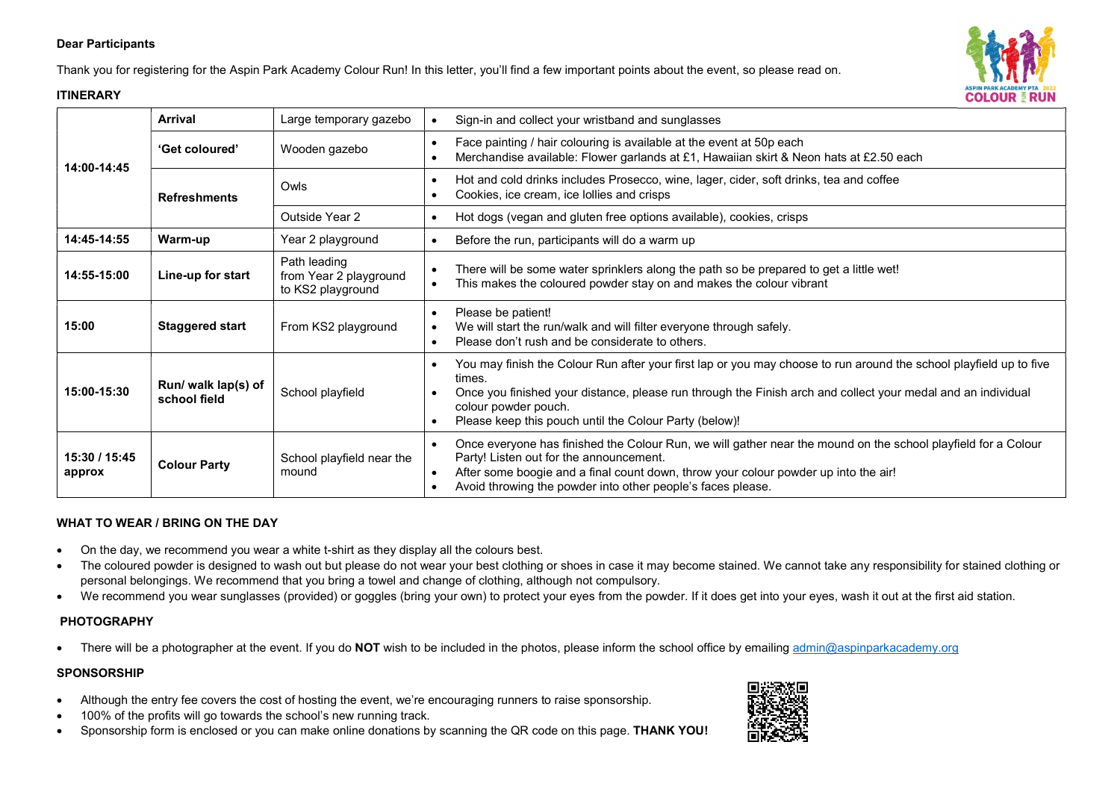## Dear Participants

Thank you for registering for the Aspin Park Academy Colour Run! In this letter, you'll find a few important points about the event, so please read on.

## **ITINFRARY**



## WHAT TO WEAR / BRING ON THE DAY

- On the day, we recommend you wear a white t-shirt as they display all the colours best.
- The coloured powder is designed to wash out but please do not wear your best clothing or shoes in case it may become stained. We cannot take any responsibility for stained clothing or personal belongings. We recommend that you bring a towel and change of clothing, although not compulsory.
- We recommend you wear sunglasses (provided) or goggles (bring your own) to protect your eyes from the powder. If it does get into your eyes, wash it out at the first aid station.

## PHOTOGRAPHY

There will be a photographer at the event. If you do NOT wish to be included in the photos, please inform the school office by emailing admin@aspinparkacademy.org

#### **SPONSORSHIP**

- Although the entry fee covers the cost of hosting the event, we're encouraging runners to raise sponsorship.
- 100% of the profits will go towards the school's new running track.
- Sponsorship form is enclosed or you can make online donations by scanning the QR code on this page. THANK YOU!